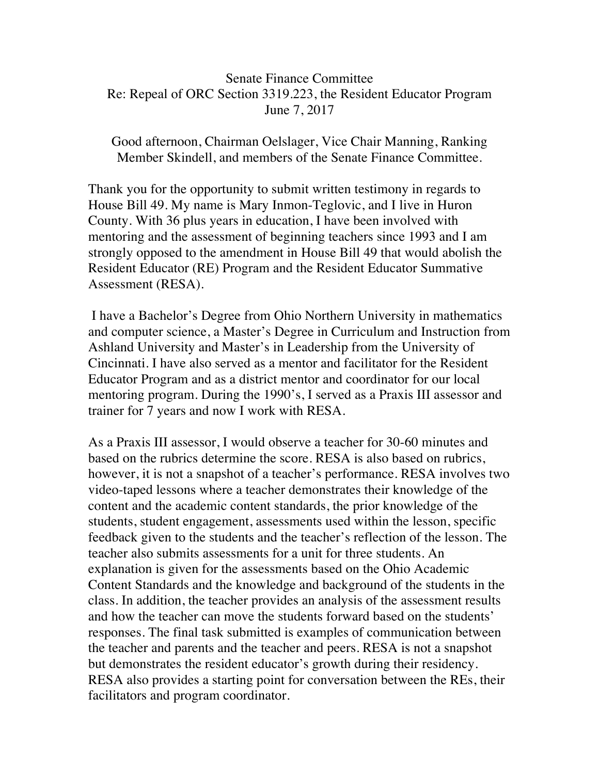## Senate Finance Committee Re: Repeal of ORC Section 3319.223, the Resident Educator Program June 7, 2017

Good afternoon, Chairman Oelslager, Vice Chair Manning, Ranking Member Skindell, and members of the Senate Finance Committee.

Thank you for the opportunity to submit written testimony in regards to House Bill 49. My name is Mary Inmon-Teglovic, and I live in Huron County. With 36 plus years in education, I have been involved with mentoring and the assessment of beginning teachers since 1993 and I am strongly opposed to the amendment in House Bill 49 that would abolish the Resident Educator (RE) Program and the Resident Educator Summative Assessment (RESA).

I have a Bachelor's Degree from Ohio Northern University in mathematics and computer science, a Master's Degree in Curriculum and Instruction from Ashland University and Master's in Leadership from the University of Cincinnati. I have also served as a mentor and facilitator for the Resident Educator Program and as a district mentor and coordinator for our local mentoring program. During the 1990's, I served as a Praxis III assessor and trainer for 7 years and now I work with RESA.

As a Praxis III assessor, I would observe a teacher for 30-60 minutes and based on the rubrics determine the score. RESA is also based on rubrics, however, it is not a snapshot of a teacher's performance. RESA involves two video-taped lessons where a teacher demonstrates their knowledge of the content and the academic content standards, the prior knowledge of the students, student engagement, assessments used within the lesson, specific feedback given to the students and the teacher's reflection of the lesson. The teacher also submits assessments for a unit for three students. An explanation is given for the assessments based on the Ohio Academic Content Standards and the knowledge and background of the students in the class. In addition, the teacher provides an analysis of the assessment results and how the teacher can move the students forward based on the students' responses. The final task submitted is examples of communication between the teacher and parents and the teacher and peers. RESA is not a snapshot but demonstrates the resident educator's growth during their residency. RESA also provides a starting point for conversation between the REs, their facilitators and program coordinator.